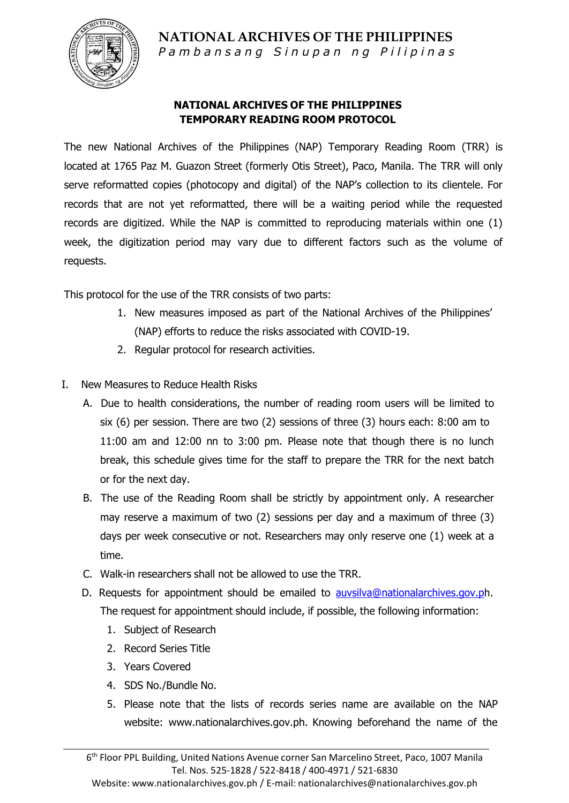

Pambansang Sinupan ng Pilipinas

#### **NATIONAL ARCHIVES OF THE PHILIPPINES TEMPORARY READING ROOM PROTOCOL**

The new National Archives of the Philippines (NAP) Temporary Reading Room (TRR) is located at 1765 Paz M. Guazon Street (formerly Otis Street), Paco, Manila. The TRR will only serve reformatted copies (photocopy and digital) of the NAP's collection to its clientele. For records that are not yet reformatted, there will be a waiting period while the requested records are digitized. While the NAP is committed to reproducing materials within one (1) week, the digitization period may vary due to different factors such as the volume of requests.

This protocol for the use of the TRR consists of two parts:

- 1. New measures imposed as part of the National Archives of the Philippines' (NAP) efforts to reduce the risks associated with COVID-19.
- 2. Regular protocol for research activities.
- I. New Measures to Reduce Health Risks
	- A. Due to health considerations, the number of reading room users will be limited to six (6) per session. There are two (2) sessions of three (3) hours each: 8:00 am to 11:00 am and 12:00 nn to 3:00 pm. Please note that though there is no lunch break, this schedule gives time for the staff to prepare the TRR for the next batch or for the next day.
	- B. The use of the Reading Room shall be strictly by appointment only. A researcher may reserve a maximum of two (2) sessions per day and a maximum of three (3) days per week consecutive or not. Researchers may only reserve one (1) week at a time.
	- C. Walk-in researchers shall not be allowed to use the TRR.
	- D. Requests for appointment should be emailed to [auvsilva@nationalarchives.gov.ph](mailto:auvsilva@nationalarchives.gov.p). The request for appointment should include, if possible, the following information:
		- 1. Subject of Research
		- 2. Record Series Title
		- 3. Years Covered
		- 4. SDS No./Bundle No.
		- 5. Please note that the lists of records series name are available on the NAP website: [www.nationalarchives.gov.ph.](http://www.nationalarchives.gov.ph/) Knowing beforehand the name of the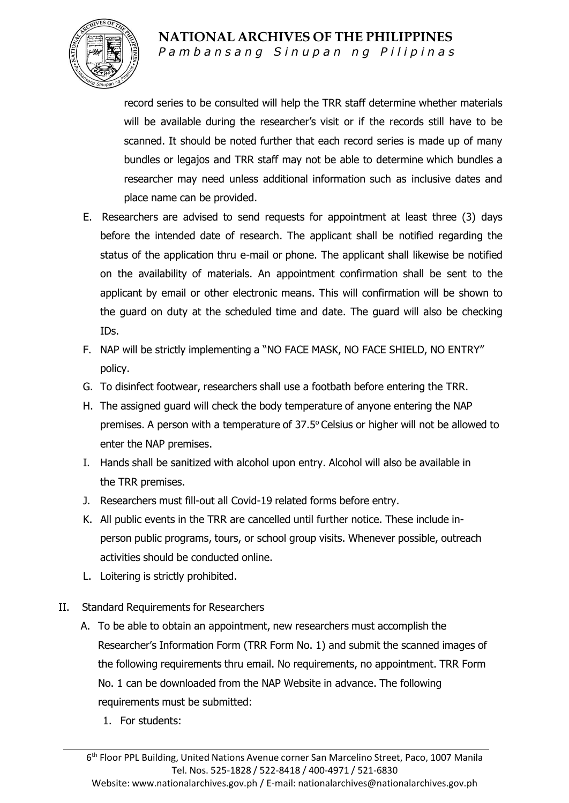

Pambansang Sinupan ng Pilipinas

record series to be consulted will help the TRR staff determine whether materials will be available during the researcher's visit or if the records still have to be scanned. It should be noted further that each record series is made up of many bundles or legajos and TRR staff may not be able to determine which bundles a researcher may need unless additional information such as inclusive dates and place name can be provided.

- E. Researchers are advised to send requests for appointment at least three (3) days before the intended date of research. The applicant shall be notified regarding the status of the application thru e-mail or phone. The applicant shall likewise be notified on the availability of materials. An appointment confirmation shall be sent to the applicant by email or other electronic means. This will confirmation will be shown to the guard on duty at the scheduled time and date. The guard will also be checking IDs.
- F. NAP will be strictly implementing a "NO FACE MASK, NO FACE SHIELD, NO ENTRY" policy.
- G. To disinfect footwear, researchers shall use a footbath before entering the TRR.
- H. The assigned guard will check the body temperature of anyone entering the NAP premises. A person with a temperature of 37.5° Celsius or higher will not be allowed to enter the NAP premises.
- I. Hands shall be sanitized with alcohol upon entry. Alcohol will also be available in the TRR premises.
- J. Researchers must fill-out all Covid-19 related forms before entry.
- K. All public events in the TRR are cancelled until further notice. These include inperson public programs, tours, or school group visits. Whenever possible, outreach activities should be conducted online.
- L. Loitering is strictly prohibited.
- II. Standard Requirements for Researchers
	- A. To be able to obtain an appointment, new researchers must accomplish the Researcher's Information Form (TRR Form No. 1) and submit the scanned images of the following requirements thru email. No requirements, no appointment. TRR Form No. 1 can be downloaded from the NAP Website in advance. The following requirements must be submitted:
		- 1. For students: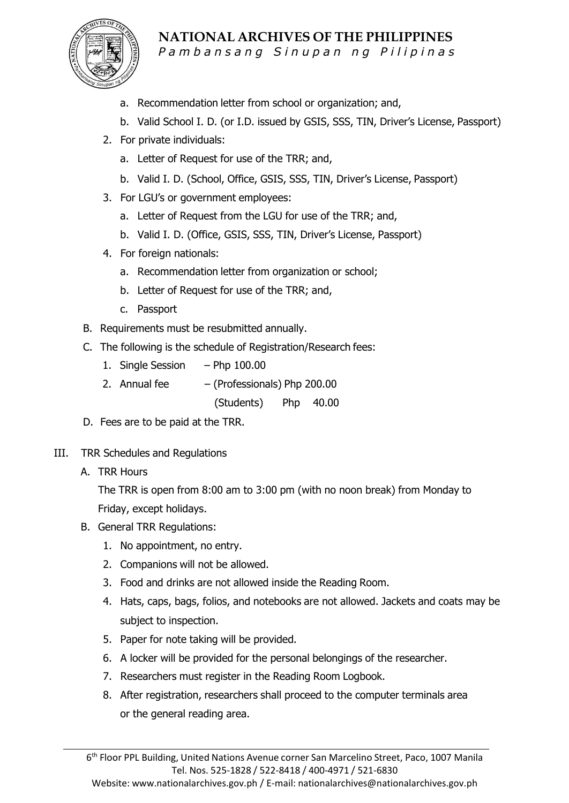

Pambansang Sinupan ng Pilipinas

- a. Recommendation letter from school or organization; and,
- b. Valid School I. D. (or I.D. issued by GSIS, SSS, TIN, Driver's License, Passport)
- 2. For private individuals:
	- a. Letter of Request for use of the TRR; and,
	- b. Valid I. D. (School, Office, GSIS, SSS, TIN, Driver's License, Passport)
- 3. For LGU's or government employees:
	- a. Letter of Request from the LGU for use of the TRR; and,
	- b. Valid I. D. (Office, GSIS, SSS, TIN, Driver's License, Passport)
- 4. For foreign nationals:
	- a. Recommendation letter from organization or school;
	- b. Letter of Request for use of the TRR; and,
	- c. Passport
- B. Requirements must be resubmitted annually.
- C. The following is the schedule of Registration/Research fees:
	- 1. Single Session Php 100.00
	- 2. Annual fee  $-$  (Professionals) Php 200.00

(Students) Php 40.00

- D. Fees are to be paid at the TRR.
- III. TRR Schedules and Regulations
	- A. TRR Hours

The TRR is open from 8:00 am to 3:00 pm (with no noon break) from Monday to Friday, except holidays.

- B. General TRR Regulations:
	- 1. No appointment, no entry.
	- 2. Companions will not be allowed.
	- 3. Food and drinks are not allowed inside the Reading Room.
	- 4. Hats, caps, bags, folios, and notebooks are not allowed. Jackets and coats may be subject to inspection.
	- 5. Paper for note taking will be provided.
	- 6. A locker will be provided for the personal belongings of the researcher.
	- 7. Researchers must register in the Reading Room Logbook.
	- 8. After registration, researchers shall proceed to the computer terminals area or the general reading area.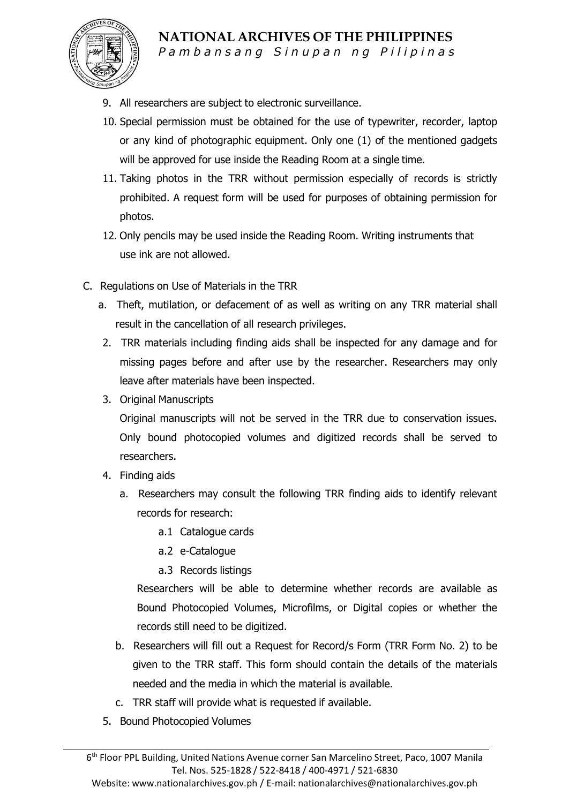

Pambansang Sinupan ng Pilipinas

- 9. All researchers are subject to electronic surveillance.
- 10. Special permission must be obtained for the use of typewriter, recorder, laptop or any kind of photographic equipment. Only one (1) of the mentioned gadgets will be approved for use inside the Reading Room at a single time.
- 11. Taking photos in the TRR without permission especially of records is strictly prohibited. A request form will be used for purposes of obtaining permission for photos.
- 12. Only pencils may be used inside the Reading Room. Writing instruments that use ink are not allowed.
- C. Regulations on Use of Materials in the TRR
	- a. Theft, mutilation, or defacement of as well as writing on any TRR material shall result in the cancellation of all research privileges.
	- 2. TRR materials including finding aids shall be inspected for any damage and for missing pages before and after use by the researcher. Researchers may only leave after materials have been inspected.
	- 3. Original Manuscripts

Original manuscripts will not be served in the TRR due to conservation issues. Only bound photocopied volumes and digitized records shall be served to researchers.

- 4. Finding aids
	- a. Researchers may consult the following TRR finding aids to identify relevant records for research:
		- a.1 Catalogue cards
		- a.2 e-Catalogue
		- a.3 Records listings

Researchers will be able to determine whether records are available as Bound Photocopied Volumes, Microfilms, or Digital copies or whether the records still need to be digitized.

- b. Researchers will fill out a Request for Record/s Form (TRR Form No. 2) to be given to the TRR staff. This form should contain the details of the materials needed and the media in which the material is available.
- c. TRR staff will provide what is requested if available.
- 5. Bound Photocopied Volumes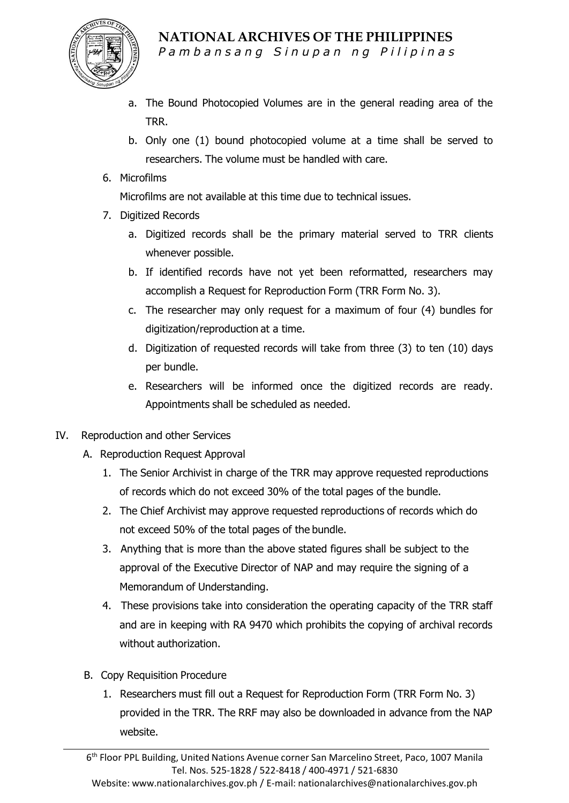

Pambansang Sinupan ng Pilipinas

- a. The Bound Photocopied Volumes are in the general reading area of the TRR.
- b. Only one (1) bound photocopied volume at a time shall be served to researchers. The volume must be handled with care.
- 6. Microfilms

Microfilms are not available at this time due to technical issues.

- 7. Digitized Records
	- a. Digitized records shall be the primary material served to TRR clients whenever possible.
	- b. If identified records have not yet been reformatted, researchers may accomplish a Request for Reproduction Form (TRR Form No. 3).
	- c. The researcher may only request for a maximum of four (4) bundles for digitization/reproduction at a time.
	- d. Digitization of requested records will take from three (3) to ten (10) days per bundle.
	- e. Researchers will be informed once the digitized records are ready. Appointments shall be scheduled as needed.
- IV. Reproduction and other Services
	- A. Reproduction Request Approval
		- 1. The Senior Archivist in charge of the TRR may approve requested reproductions of records which do not exceed 30% of the total pages of the bundle.
		- 2. The Chief Archivist may approve requested reproductions of records which do not exceed 50% of the total pages of the bundle.
		- 3. Anything that is more than the above stated figures shall be subject to the approval of the Executive Director of NAP and may require the signing of a Memorandum of Understanding.
		- 4. These provisions take into consideration the operating capacity of the TRR staff and are in keeping with RA 9470 which prohibits the copying of archival records without authorization.
	- B. Copy Requisition Procedure
		- 1. Researchers must fill out a Request for Reproduction Form (TRR Form No. 3) provided in the TRR. The RRF may also be downloaded in advance from the NAP website.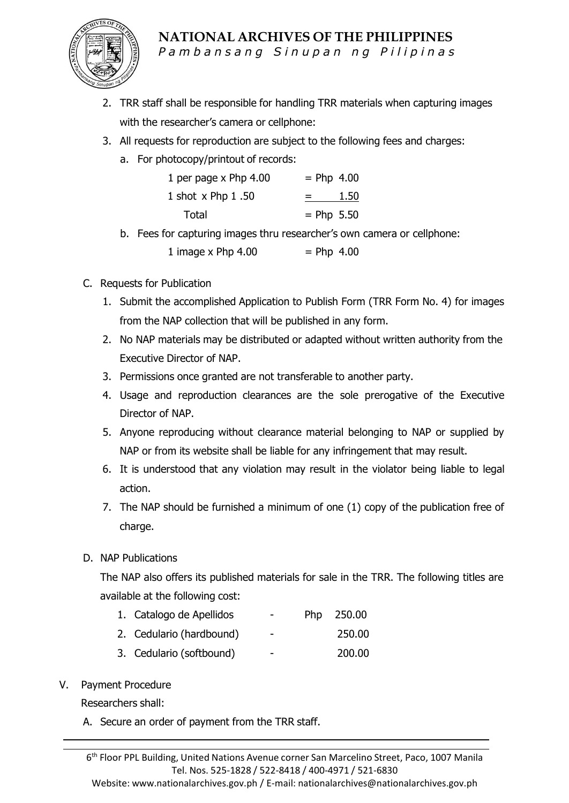

Pambansang Sinupan ng Pilipinas

- 2. TRR staff shall be responsible for handling TRR materials when capturing images with the researcher's camera or cellphone:
- 3. All requests for reproduction are subject to the following fees and charges:
	- a. For photocopy/printout of records:

| 1 per page x Php 4.00 | $=$ Php 4.00    |
|-----------------------|-----------------|
| 1 shot x Php 1.50     | 1.50<br>$=$ $-$ |
| Total                 | $=$ Php 5.50    |

b. Fees for capturing images thru researcher's own camera or cellphone:

1 image x Php  $4.00$  = Php  $4.00$ 

- C. Requests for Publication
	- 1. Submit the accomplished Application to Publish Form (TRR Form No. 4) for images from the NAP collection that will be published in any form.
	- 2. No NAP materials may be distributed or adapted without written authority from the Executive Director of NAP.
	- 3. Permissions once granted are not transferable to another party.
	- 4. Usage and reproduction clearances are the sole prerogative of the Executive Director of NAP.
	- 5. Anyone reproducing without clearance material belonging to NAP or supplied by NAP or from its website shall be liable for any infringement that may result.
	- 6. It is understood that any violation may result in the violator being liable to legal action.
	- 7. The NAP should be furnished a minimum of one (1) copy of the publication free of charge.
- D. NAP Publications

The NAP also offers its published materials for sale in the TRR. The following titles are available at the following cost:

- 1. Catalogo de Apellidos Php 250.00
- 2. Cedulario (hardbound) 250.00
- 3. Cedulario (softbound) 200.00

#### V. Payment Procedure

Researchers shall:

A. Secure an order of payment from the TRR staff.